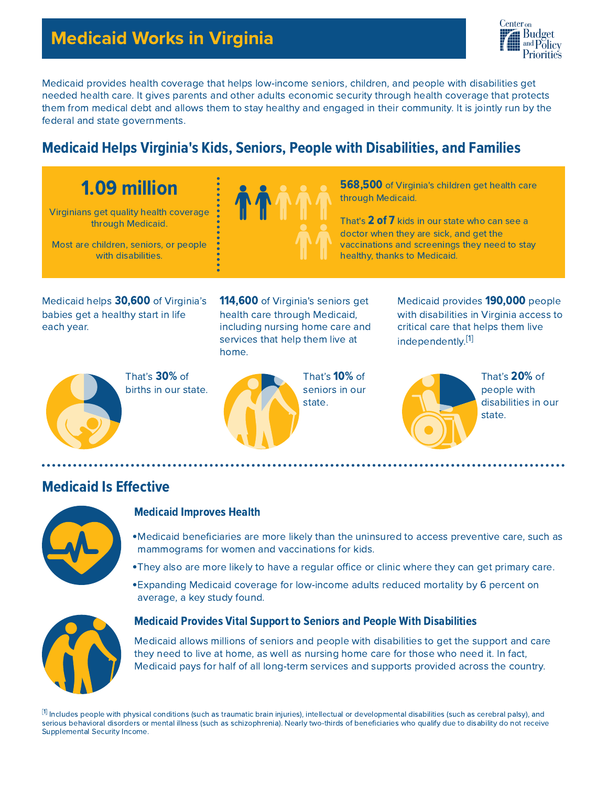## Medicaid Works in Virginia



Medicaid provides health coverage that helps low-income seniors, children, and people with disabilities get needed health care. It gives parents and other adults economic security through health coverage that protects them from medical debt and allows them to stay healthy and engaged in their community. It is jointly run by the federal and state governments.

## **Medicaid Helps Virginia's Kids, Seniors, People with Disabilities, and Families**

# 1.09 million

Virginians get quality health coverage through Medicaid.

Most are children, seniors, or people with disabilities.



568,500 of Virginia's children get health care through Medicaid.

That's 2 of 7 kids in our state who can see a doctor when they are sick, and get the vaccinations and screenings they need to stay healthy, thanks to Medicaid.

Medicaid helps 30,600 of Virginia's babies get a healthy start in life each year.

114,600 of Virginia's seniors get health care through Medicaid, including nursing home care and services that help them live at home.



That's 30% of births in our state.



That's 10% of seniors in our state.

Medicaid provides 190,000 people with disabilities in Virginia access to critical care that helps them live independently.<sup>[1]</sup>



That's 20% of people with disabilities in our state.

### **Medicaid Is Effective**



#### Medicaid Improves Health

- Medicaid beneficiaries are more likely than the uninsured to access preventive care, such as mammograms for women and vaccinations for kids.
- They also are more likely to have a regular office or clinic where they can get primary care.
- Expanding Medicaid coverage for low-income adults reduced mortality by 6 percent on average, a key study found.



#### **Medicaid Provides Vital Support to Seniors and People With Disabilities**

Medicaid allows millions of seniors and people with disabilities to get the support and care they need to live at home, as well as nursing home care for those who need it. In fact, Medicaid pays for half of all long-term services and supports provided across the country.

 $^{\lbrack 1]}$  Includes people with physical conditions (such as traumatic brain injuries), intellectual or developmental disabilities (such as cerebral palsy), and serious behavioral disorders or mental illness (such as schizophrenia). Nearly two-thirds of beneficiaries who qualify due to disability do not receive Supplemental Security Income.